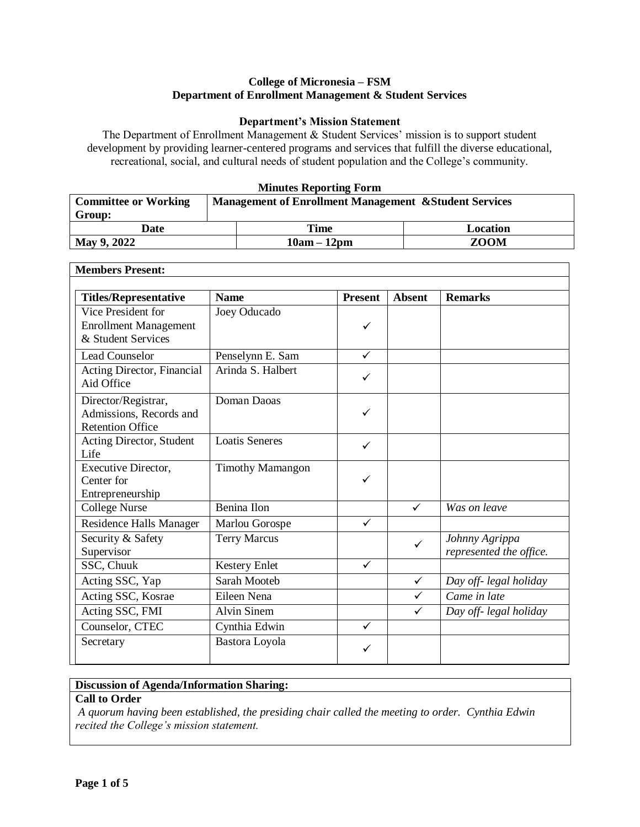#### **College of Micronesia – FSM Department of Enrollment Management & Student Services**

#### **Department's Mission Statement**

The Department of Enrollment Management & Student Services' mission is to support student development by providing learner-centered programs and services that fulfill the diverse educational, recreational, social, and cultural needs of student population and the College's community.

#### **Minutes Reporting Form**

| <b>Committee or Working</b> | <b>Management of Enrollment Management &amp; Student Services</b> |             |
|-----------------------------|-------------------------------------------------------------------|-------------|
| Group:                      |                                                                   |             |
| Date                        | Time                                                              | Location    |
| May 9, 2022                 | $10am - 12pm$                                                     | <b>ZOOM</b> |

| <b>Members Present:</b>                                                   |                         |                |               |                                           |
|---------------------------------------------------------------------------|-------------------------|----------------|---------------|-------------------------------------------|
| <b>Titles/Representative</b>                                              | <b>Name</b>             | <b>Present</b> | <b>Absent</b> | <b>Remarks</b>                            |
| Vice President for<br><b>Enrollment Management</b><br>& Student Services  | Joey Oducado            | ✓              |               |                                           |
| <b>Lead Counselor</b>                                                     | Penselynn E. Sam        | $\checkmark$   |               |                                           |
| Acting Director, Financial<br>Aid Office                                  | Arinda S. Halbert       | ✓              |               |                                           |
| Director/Registrar,<br>Admissions, Records and<br><b>Retention Office</b> | Doman Daoas             | ✓              |               |                                           |
| Acting Director, Student<br>Life                                          | <b>Loatis Seneres</b>   | $\checkmark$   |               |                                           |
| Executive Director,<br>Center for<br>Entrepreneurship                     | <b>Timothy Mamangon</b> | ✓              |               |                                           |
| <b>College Nurse</b>                                                      | Benina Ilon             |                | $\checkmark$  | Was on leave                              |
| Residence Halls Manager                                                   | Marlou Gorospe          | $\checkmark$   |               |                                           |
| Security & Safety<br>Supervisor                                           | <b>Terry Marcus</b>     |                | $\checkmark$  | Johnny Agrippa<br>represented the office. |
| SSC, Chuuk                                                                | <b>Kestery Enlet</b>    | $\checkmark$   |               |                                           |
| Acting SSC, Yap                                                           | Sarah Mooteb            |                | $\checkmark$  | Day off- legal holiday                    |
| Acting SSC, Kosrae                                                        | Eileen Nena             |                | $\checkmark$  | Came in late                              |
| Acting SSC, FMI                                                           | <b>Alvin Sinem</b>      |                | $\checkmark$  | Day off- legal holiday                    |
| Counselor, CTEC                                                           | Cynthia Edwin           | $\checkmark$   |               |                                           |
| Secretary                                                                 | Bastora Loyola          | ✓              |               |                                           |

### **Discussion of Agenda/Information Sharing:**

#### **Call to Order**

*A quorum having been established, the presiding chair called the meeting to order. Cynthia Edwin recited the College's mission statement.*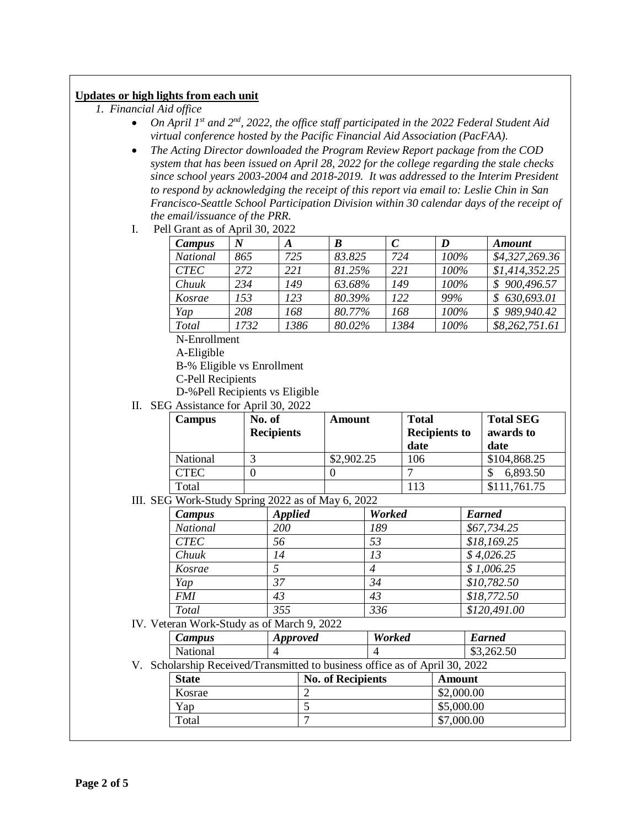### **Updates or high lights from each unit**

- *1. Financial Aid office*
	- *On April 1st and 2nd, 2022, the office staff participated in the 2022 Federal Student Aid virtual conference hosted by the Pacific Financial Aid Association (PacFAA).*
	- *The Acting Director downloaded the Program Review Report package from the COD system that has been issued on April 28, 2022 for the college regarding the stale checks since school years 2003-2004 and 2018-2019. It was addressed to the Interim President to respond by acknowledging the receipt of this report via email to: Leslie Chin in San Francisco-Seattle School Participation Division within 30 calendar days of the receipt of the email/issuance of the PRR.*
	- I. Pell Grant as of April 30, 2022

| Campus       | N    | A    | B      |      | D    | <b>Amount</b>  |
|--------------|------|------|--------|------|------|----------------|
| National     | 865  | 725  | 83.825 | 724  | 100% | \$4,327,269.36 |
| <b>CTEC</b>  | 272  | 221  | 81.25% | 221  | 100% | \$1,414,352.25 |
| Chuuk        | 234  | 149  | 63.68% | 149  | 100% | \$900,496.57   |
| Kosrae       | 153  | 123  | 80.39% | 122  | 99%  | 630,693.01     |
| Yap          | 208  | 168  | 80.77% | 168  | 100% | \$989,940.42   |
| <b>Total</b> | 1732 | 1386 | 80.02% | 1384 | 100% | \$8,262,751.61 |

N-Enrollment

A-Eligible

B-% Eligible vs Enrollment

- C-Pell Recipients
- D-%Pell Recipients vs Eligible
- II. SEG Assistance for April 30, 2022

| Campus      | No. of<br><b>Recipients</b> | Amount     | <b>Total</b><br><b>Recipients to</b><br>date | <b>Total SEG</b><br>awards to<br>date |
|-------------|-----------------------------|------------|----------------------------------------------|---------------------------------------|
| National    |                             | \$2,902.25 | 106                                          | \$104,868.25                          |
| <b>CTEC</b> |                             |            |                                              | 6,893.50                              |
| Total       |                             |            | 113                                          | \$111,761.75                          |

III. SEG Work-Study Spring 2022 as of May 6, 2022

| Campus      | <b>Applied</b> | <b>Worked</b> | <b>Earned</b> |
|-------------|----------------|---------------|---------------|
| National    | 200            | 189           | \$67,734.25   |
| <b>CTEC</b> | 56             | 53            | \$18,169.25   |
| Chuuk       | 14             | 13            | \$4,026.25    |
| Kosrae      |                | 4             | \$1,006.25    |
| Yap         | 37             | 34            | \$10,782.50   |
| <b>FMI</b>  | 43             | 43            | \$18,772.50   |
| Total       | 355            | 336           | \$120,491.00  |

IV. Veteran Work-Study as of March 9, 2022

| Campus          | <i>Approved</i> | <b>Worked</b> | <b>Earned</b> |
|-----------------|-----------------|---------------|---------------|
| <b>National</b> |                 |               | \$3,262.50    |

V. Scholarship Received/Transmitted to business office as of April 30, 2022

| <b>State</b> | <b>No. of Recipients</b> | Amount     |
|--------------|--------------------------|------------|
| Kosrae       |                          | \$2,000.00 |
| Yap          |                          | \$5,000.00 |
| Total        |                          | \$7,000.00 |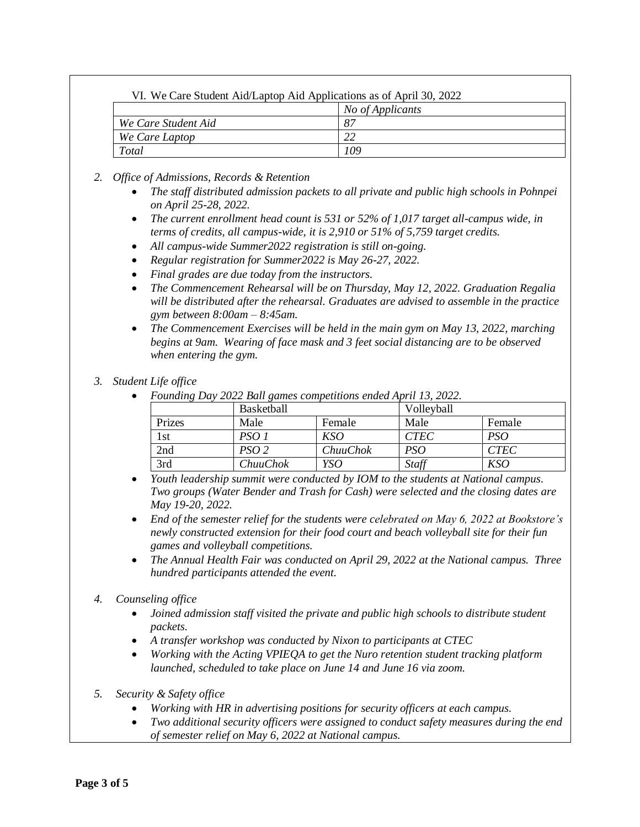| VI. We Care Student Aid/Laptop Aid Applications as of April 30, 2022 |                  |
|----------------------------------------------------------------------|------------------|
|                                                                      | No of Applicants |
| We Care Student Aid                                                  | -87              |
| We Care Laptop                                                       |                  |
| Total                                                                | 109              |

- *2. Office of Admissions, Records & Retention*
	- *The staff distributed admission packets to all private and public high schools in Pohnpei on April 25-28, 2022.*
	- *The current enrollment head count is 531 or 52% of 1,017 target all-campus wide, in terms of credits, all campus-wide, it is 2,910 or 51% of 5,759 target credits.*
	- *All campus-wide Summer2022 registration is still on-going.*
	- *Regular registration for Summer2022 is May 26-27, 2022.*
	- *Final grades are due today from the instructors.*
	- *The Commencement Rehearsal will be on Thursday, May 12, 2022. Graduation Regalia will be distributed after the rehearsal. Graduates are advised to assemble in the practice gym between 8:00am – 8:45am.*
	- *The Commencement Exercises will be held in the main gym on May 13, 2022, marching begins at 9am. Wearing of face mask and 3 feet social distancing are to be observed when entering the gym.*

#### *3. Student Life office*

*Founding Day 2022 Ball games competitions ended April 13, 2022.*

| $\overline{\phantom{0}}$ |                   |          |             |             |
|--------------------------|-------------------|----------|-------------|-------------|
|                          | <b>Basketball</b> |          | Volleyball  |             |
| Prizes                   | Male              | Female   | Male        | Female      |
| 1st                      | PSO 1             | KSO      | <b>CTEC</b> | PSO         |
| 2nd                      | PSO 2             | ChuuChok | PSO         | <i>CTEC</i> |
| 3rd                      | <i>ChuuChok</i>   | YSO      | Staff       | KSO         |

 *Youth leadership summit were conducted by IOM to the students at National campus. Two groups (Water Bender and Trash for Cash) were selected and the closing dates are May 19-20, 2022.*

 *End of the semester relief for the students were celebrated on May 6, 2022 at Bookstore's newly constructed extension for their food court and beach volleyball site for their fun games and volleyball competitions.*

 *The Annual Health Fair was conducted on April 29, 2022 at the National campus. Three hundred participants attended the event.*

## *4. Counseling office*

- *Joined admission staff visited the private and public high schools to distribute student packets.*
- *A transfer workshop was conducted by Nixon to participants at CTEC*
- *Working with the Acting VPIEQA to get the Nuro retention student tracking platform launched, scheduled to take place on June 14 and June 16 via zoom.*
- *5. Security & Safety office*
	- *Working with HR in advertising positions for security officers at each campus.*
	- *Two additional security officers were assigned to conduct safety measures during the end of semester relief on May 6, 2022 at National campus.*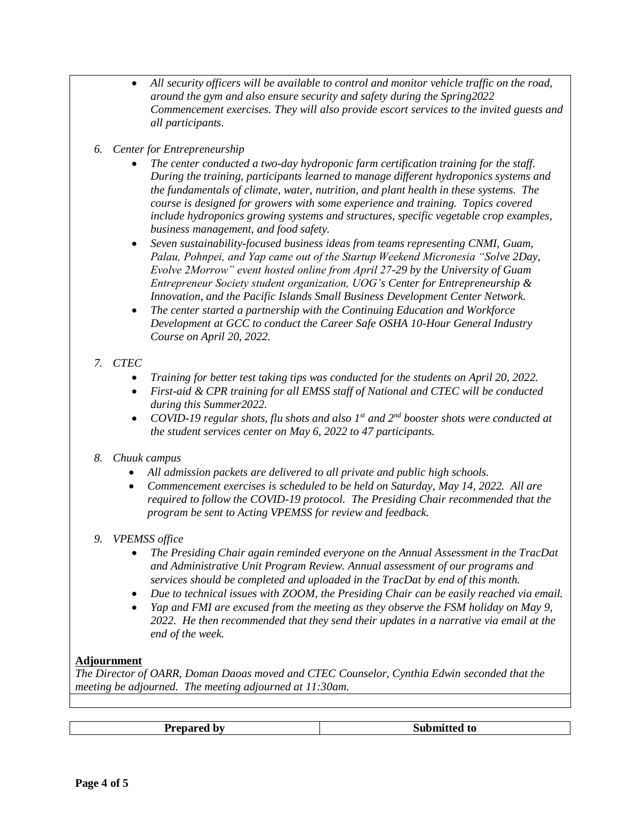- *All security officers will be available to control and monitor vehicle traffic on the road, around the gym and also ensure security and safety during the Spring2022 Commencement exercises. They will also provide escort services to the invited guests and all participants.*
- *6. Center for Entrepreneurship*
	- *The center conducted a two-day hydroponic farm certification training for the staff. During the training, participants learned to manage different hydroponics systems and the fundamentals of climate, water, nutrition, and plant health in these systems. The course is designed for growers with some experience and training. Topics covered include hydroponics growing systems and structures, specific vegetable crop examples, business management, and food safety.*
	- *Seven sustainability-focused business ideas from teams representing CNMI, Guam, Palau, Pohnpei, and Yap came out of the Startup Weekend Micronesia "Solve 2Day, Evolve 2Morrow" event hosted online from April 27-29 by the University of Guam Entrepreneur Society student organization, UOG's Center for Entrepreneurship & Innovation, and the Pacific Islands Small Business Development Center Network.*
	- *The center started a partnership with the Continuing Education and Workforce Development at GCC to conduct the Career Safe OSHA 10-Hour General Industry Course on April 20, 2022.*

# *7. CTEC*

- *Training for better test taking tips was conducted for the students on April 20, 2022.*
- *First-aid & CPR training for all EMSS staff of National and CTEC will be conducted during this Summer2022.*
- *COVID-19 regular shots, flu shots and also 1st and 2nd booster shots were conducted at the student services center on May 6, 2022 to 47 participants.*

## *8. Chuuk campus*

- *All admission packets are delivered to all private and public high schools.*
- *Commencement exercises is scheduled to be held on Saturday, May 14, 2022. All are required to follow the COVID-19 protocol. The Presiding Chair recommended that the program be sent to Acting VPEMSS for review and feedback.*

# *9. VPEMSS office*

- *The Presiding Chair again reminded everyone on the Annual Assessment in the TracDat and Administrative Unit Program Review. Annual assessment of our programs and services should be completed and uploaded in the TracDat by end of this month.*
- *Due to technical issues with ZOOM, the Presiding Chair can be easily reached via email.*
- *Yap and FMI are excused from the meeting as they observe the FSM holiday on May 9, 2022. He then recommended that they send their updates in a narrative via email at the end of the week.*

## **Adjournment**

*The Director of OARR, Doman Daoas moved and CTEC Counselor, Cynthia Edwin seconded that the meeting be adjourned. The meeting adjourned at 11:30am.*

|  | -<br><i>rannonof</i><br>hv<br>. | .<br>w<br>~u |
|--|---------------------------------|--------------|
|--|---------------------------------|--------------|